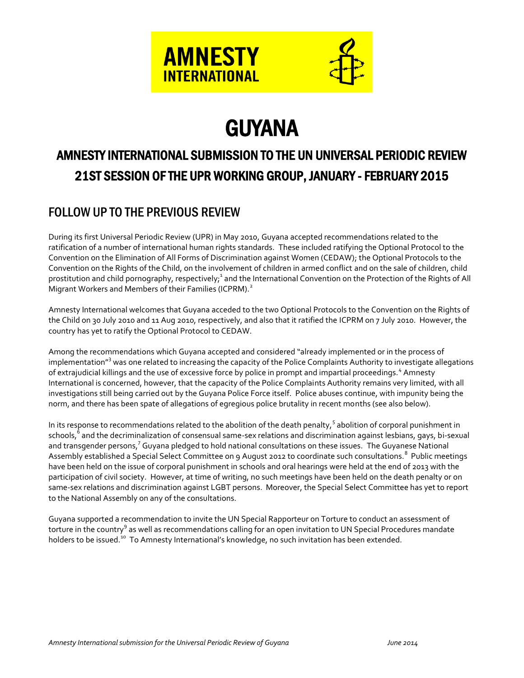



# GUYANA

## AMNESTY INTERNATIONAL SUBMISSION TO THE UN UNIVERSAL PERIODIC REVIEW 21ST SESSION OF THE UPR WORKING GROUP, JANUARY - FEBRUARY 2015

### FOLLOW UP TO THE PREVIOUS REVIEW

During its first Universal Periodic Review (UPR) in May 2010, Guyana accepted recommendations related to the ratification of a number of international human rights standards. These included ratifying the Optional Protocol to the Convention on the Elimination of All Forms of Discrimination against Women (CEDAW); the Optional Protocols to the Convention on the Rights of the Child, on the involvement of children in armed conflict and on the sale of children, child prostitution and child pornography, respectively;<sup>1</sup> and the International Convention on the Protection of the Rights of All Migrant Workers and Members of their Families (ICPRM).<sup>2</sup>

Amnesty International welcomes that Guyana acceded to the two Optional Protocols to the Convention on the Rights of the Child on 30 July 2010 and 11 Aug 2010, respectively, and also that it ratified the ICPRM on 7 July 2010. However, the country has yet to ratify the Optional Protocol to CEDAW.

Among the recommendations which Guyana accepted and considered "already implemented or in the process of implementation<sup>"3</sup> was one related to increasing the capacity of the Police Complaints Authority to investigate allegations of extrajudicial killings and the use of excessive force by police in prompt and impartial proceedings.<sup>4</sup> Amnesty International is concerned, however, that the capacity of the Police Complaints Authority remains very limited, with all investigations still being carried out by the Guyana Police Force itself. Police abuses continue, with impunity being the norm, and there has been spate of allegations of egregious police brutality in recent months (see also below).

In its response to recommendations related to the abolition of the death penalty,<sup>5</sup> abolition of corporal punishment in schools,<sup>6</sup> and the decriminalization of consensual same-sex relations and discrimination against lesbians, gays, bi-sexual and transgender persons,<sup>7</sup> Guyana pledged to hold national consultations on these issues. The Guyanese National Assembly established a Special Select Committee on 9 August 2012 to coordinate such consultations. <sup>8</sup> Public meetings have been held on the issue of corporal punishment in schools and oral hearings were held at the end of 2013 with the participation of civil society. However, at time of writing, no such meetings have been held on the death penalty or on same-sex relations and discrimination against LGBT persons. Moreover, the Special Select Committee has yet to report to the National Assembly on any of the consultations.

Guyana supported a recommendation to invite the UN Special Rapporteur on Torture to conduct an assessment of torture in the country<sup>9</sup> as well as recommendations calling for an open invitation to UN Special Procedures mandate holders to be issued.<sup>10</sup> To Amnesty International's knowledge, no such invitation has been extended.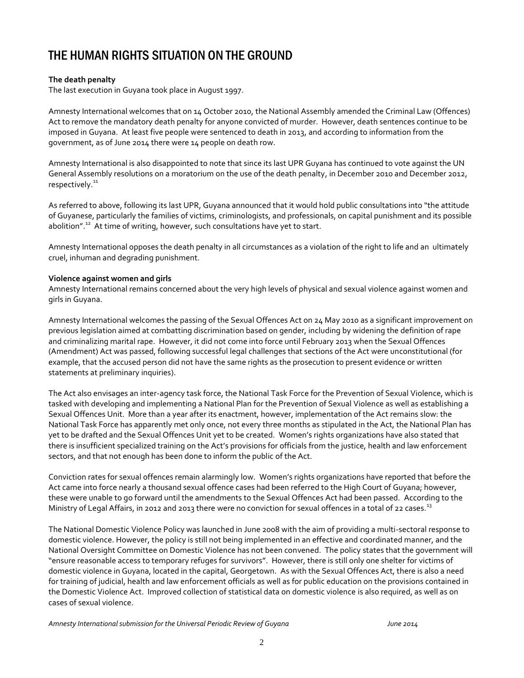### THE HUMAN RIGHTS SITUATION ON THE GROUND

### **The death penalty**

The last execution in Guyana took place in August 1997.

Amnesty International welcomes that on 14 October 2010, the National Assembly amended the Criminal Law (Offences) Act to remove the mandatory death penalty for anyone convicted of murder. However, death sentences continue to be imposed in Guyana. At least five people were sentenced to death in 2013, and according to information from the government, as of June 2014 there were 14 people on death row.

Amnesty International is also disappointed to note that since its last UPR Guyana has continued to vote against the UN General Assembly resolutions on a moratorium on the use of the death penalty, in December 2010 and December 2012, respectively.<sup>11</sup>

As referred to above, following its last UPR, Guyana announced that it would hold public consultations into "the attitude of Guyanese, particularly the families of victims, criminologists, and professionals, on capital punishment and its possible abolition".<sup>12</sup> At time of writing, however, such consultations have yet to start.

Amnesty International opposes the death penalty in all circumstances as a violation of the right to life and an ultimately cruel, inhuman and degrading punishment.

#### **Violence against women and girls**

Amnesty International remains concerned about the very high levels of physical and sexual violence against women and girls in Guyana.

Amnesty International welcomes the passing of the Sexual Offences Act on 24 May 2010 as a significant improvement on previous legislation aimed at combatting discrimination based on gender, including by widening the definition of rape and criminalizing marital rape. However, it did not come into force until February 2013 when the Sexual Offences (Amendment) Act was passed, following successful legal challenges that sections of the Act were unconstitutional (for example, that the accused person did not have the same rights as the prosecution to present evidence or written statements at preliminary inquiries).

The Act also envisages an inter-agency task force, the National Task Force for the Prevention of Sexual Violence, which is tasked with developing and implementing a National Plan for the Prevention of Sexual Violence as well as establishing a Sexual Offences Unit. More than a year after its enactment, however, implementation of the Act remains slow: the National Task Force has apparently met only once, not every three months as stipulated in the Act, the National Plan has yet to be drafted and the Sexual Offences Unit yet to be created. Women's rights organizations have also stated that there is insufficient specialized training on the Act's provisions for officials from the justice, health and law enforcement sectors, and that not enough has been done to inform the public of the Act.

Conviction rates for sexual offences remain alarmingly low. Women's rights organizations have reported that before the Act came into force nearly a thousand sexual offence cases had been referred to the High Court of Guyana; however, these were unable to go forward until the amendments to the Sexual Offences Act had been passed. According to the Ministry of Legal Affairs, in 2012 and 2013 there were no conviction for sexual offences in a total of 22 cases.<sup>13</sup>

The National Domestic Violence Policy was launched in June 2008 with the aim of providing a multi-sectoral response to domestic violence. However, the policy is still not being implemented in an effective and coordinated manner, and the National Oversight Committee on Domestic Violence has not been convened. The policy states that the government will "ensure reasonable access to temporary refuges for survivors". However, there is still only one shelter for victims of domestic violence in Guyana, located in the capital, Georgetown. As with the Sexual Offences Act, there is also a need for training of judicial, health and law enforcement officials as well as for public education on the provisions contained in the Domestic Violence Act. Improved collection of statistical data on domestic violence is also required, as well as on cases of sexual violence.

*Amnesty International submission for the Universal Periodic Review of Guyana June 2014*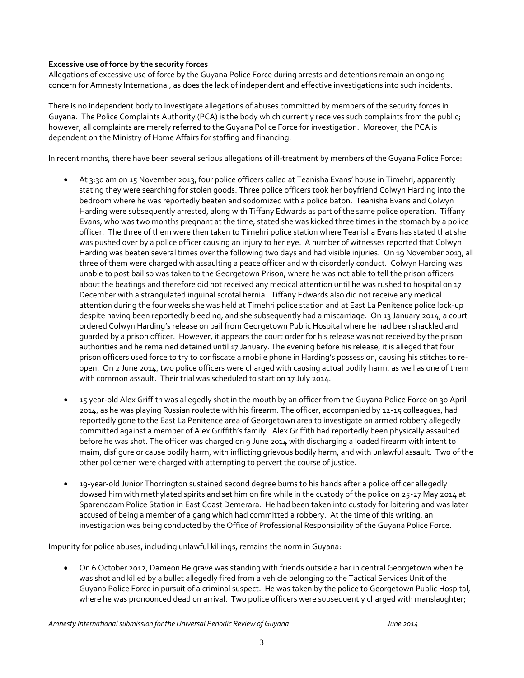### **Excessive use of force by the security forces**

Allegations of excessive use of force by the Guyana Police Force during arrests and detentions remain an ongoing concern for Amnesty International, as does the lack of independent and effective investigations into such incidents.

There is no independent body to investigate allegations of abuses committed by members of the security forces in Guyana. The Police Complaints Authority (PCA) is the body which currently receives such complaints from the public; however, all complaints are merely referred to the Guyana Police Force for investigation. Moreover, the PCA is dependent on the Ministry of Home Affairs for staffing and financing.

In recent months, there have been several serious allegations of ill-treatment by members of the Guyana Police Force:

- At 3:30 am on 15 November 2013, four police officers called at Teanisha Evans' house in Timehri, apparently stating they were searching for stolen goods. Three police officers took her boyfriend Colwyn Harding into the bedroom where he was reportedly beaten and sodomized with a police baton. Teanisha Evans and Colwyn Harding were subsequently arrested, along with Tiffany Edwards as part of the same police operation. Tiffany Evans, who was two months pregnant at the time, stated she was kicked three times in the stomach by a police officer. The three of them were then taken to Timehri police station where Teanisha Evans has stated that she was pushed over by a police officer causing an injury to her eye. A number of witnesses reported that Colwyn Harding was beaten several times over the following two days and had visible injuries. On 19 November 2013, all three of them were charged with assaulting a peace officer and with disorderly conduct. Colwyn Harding was unable to post bail so was taken to the Georgetown Prison, where he was not able to tell the prison officers about the beatings and therefore did not received any medical attention until he was rushed to hospital on 17 December with a strangulated inguinal scrotal hernia. Tiffany Edwards also did not receive any medical attention during the four weeks she was held at Timehri police station and at East La Penitence police lock-up despite having been reportedly bleeding, and she subsequently had a miscarriage. On 13 January 2014, a court ordered Colwyn Harding's release on bail from Georgetown Public Hospital where he had been shackled and guarded by a prison officer. However, it appears the court order for his release was not received by the prison authorities and he remained detained until 17 January. The evening before his release, it is alleged that four prison officers used force to try to confiscate a mobile phone in Harding's possession, causing his stitches to reopen. On 2 June 2014, two police officers were charged with causing actual bodily harm, as well as one of them with common assault. Their trial was scheduled to start on 17 July 2014.
- 15 year-old Alex Griffith was allegedly shot in the mouth by an officer from the Guyana Police Force on 30 April 2014, as he was playing Russian roulette with his firearm. The officer, accompanied by 12-15 colleagues, had reportedly gone to the East La Penitence area of Georgetown area to investigate an armed robbery allegedly committed against a member of Alex Griffith's family. Alex Griffith had reportedly been physically assaulted before he was shot. The officer was charged on 9 June 2014 with discharging a loaded firearm with intent to maim, disfigure or cause bodily harm, with inflicting grievous bodily harm, and with unlawful assault. Two of the other policemen were charged with attempting to pervert the course of justice.
- 19-year-old Junior Thorrington sustained second degree burns to his hands after a police officer allegedly dowsed him with methylated spirits and set him on fire while in the custody of the police on 25-27 May 2014 at Sparendaam Police Station in East Coast Demerara. He had been taken into custody for loitering and was later accused of being a member of a gang which had committed a robbery. At the time of this writing, an investigation was being conducted by the Office of Professional Responsibility of the Guyana Police Force.

Impunity for police abuses, including unlawful killings, remains the norm in Guyana:

 On 6 October 2012, Dameon Belgrave was standing with friends outside a bar in central Georgetown when he was shot and killed by a bullet allegedly fired from a vehicle belonging to the Tactical Services Unit of the Guyana Police Force in pursuit of a criminal suspect. He was taken by the police to Georgetown Public Hospital, where he was pronounced dead on arrival. Two police officers were subsequently charged with manslaughter;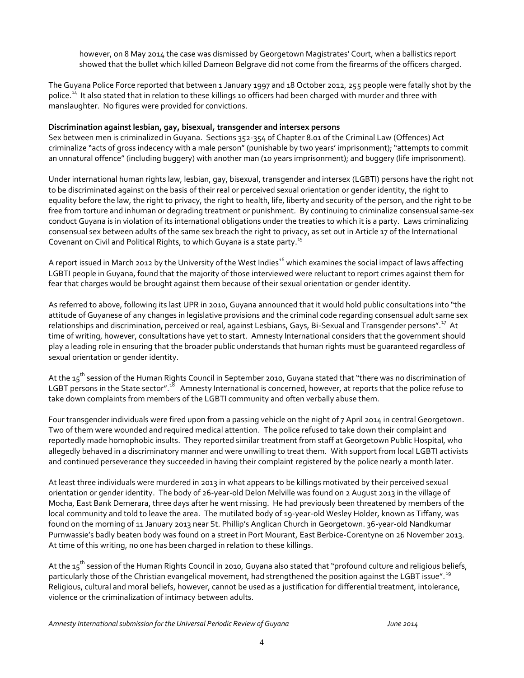however, on 8 May 2014 the case was dismissed by Georgetown Magistrates' Court, when a ballistics report showed that the bullet which killed Dameon Belgrave did not come from the firearms of the officers charged.

The Guyana Police Force reported that between 1 January 1997 and 18 October 2012, 255 people were fatally shot by the police.<sup>14</sup> It also stated that in relation to these killings 10 officers had been charged with murder and three with manslaughter. No figures were provided for convictions.

#### **Discrimination against lesbian, gay, bisexual, transgender and intersex persons**

Sex between men is criminalized in Guyana. Sections 352-354 of Chapter 8.01 of the Criminal Law (Offences) Act criminalize "acts of gross indecency with a male person" (punishable by two years' imprisonment); "attempts to commit an unnatural offence" (including buggery) with another man (10 years imprisonment); and buggery (life imprisonment).

Under international human rights law, lesbian, gay, bisexual, transgender and intersex (LGBTI) persons have the right not to be discriminated against on the basis of their real or perceived sexual orientation or gender identity, the right to equality before the law, the right to privacy, the right to health, life, liberty and security of the person, and the right to be free from torture and inhuman or degrading treatment or punishment. By continuing to criminalize consensual same-sex conduct Guyana is in violation of its international obligations under the treaties to which it is a party. Laws criminalizing consensual sex between adults of the same sex breach the right to privacy, as set out in Article 17 of the International Covenant on Civil and Political Rights, to which Guyana is a state party.<sup>15</sup>

A report issued in March 2012 by the University of the West Indies<sup>16</sup> which examines the social impact of laws affecting LGBTI people in Guyana, found that the majority of those interviewed were reluctant to report crimes against them for fear that charges would be brought against them because of their sexual orientation or gender identity.

As referred to above, following its last UPR in 2010, Guyana announced that it would hold public consultations into "the attitude of Guyanese of any changes in legislative provisions and the criminal code regarding consensual adult same sex relationships and discrimination, perceived or real, against Lesbians, Gays, Bi-Sexual and Transgender persons".<sup>17</sup> At time of writing, however, consultations have yet to start. Amnesty International considers that the government should play a leading role in ensuring that the broader public understands that human rights must be guaranteed regardless of sexual orientation or gender identity.

At the 15<sup>th</sup> session of the Human Rights Council in September 2010, Guyana stated that "there was no discrimination of LGBT persons in the State sector".<sup>18</sup> Amnesty International is concerned, however, at reports that the police refuse to take down complaints from members of the LGBTI community and often verbally abuse them.

Four transgender individuals were fired upon from a passing vehicle on the night of 7 April 2014 in central Georgetown. Two of them were wounded and required medical attention. The police refused to take down their complaint and reportedly made homophobic insults. They reported similar treatment from staff at Georgetown Public Hospital, who allegedly behaved in a discriminatory manner and were unwilling to treat them. With support from local LGBTI activists and continued perseverance they succeeded in having their complaint registered by the police nearly a month later.

At least three individuals were murdered in 2013 in what appears to be killings motivated by their perceived sexual orientation or gender identity. The body of 26-year-old Delon Melville was found on 2 August 2013 in the village of Mocha, East Bank Demerara, three days after he went missing. He had previously been threatened by members of the local community and told to leave the area. The mutilated body of 19-year-old Wesley Holder, known as Tiffany, was found on the morning of 11 January 2013 near St. Phillip's Anglican Church in Georgetown. 36-year-old Nandkumar Purnwassie's badly beaten body was found on a street in Port Mourant, East Berbice-Corentyne on 26 November 2013. At time of this writing, no one has been charged in relation to these killings.

At the 15<sup>th</sup> session of the Human Rights Council in 2010, Guyana also stated that "profound culture and religious beliefs, particularly those of the Christian evangelical movement, had strengthened the position against the LGBT issue".<sup>19</sup> Religious, cultural and moral beliefs, however, cannot be used as a justification for differential treatment, intolerance, violence or the criminalization of intimacy between adults.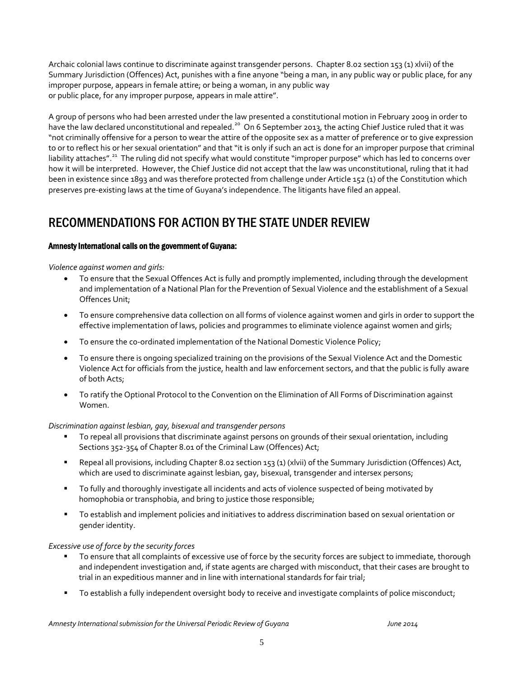Archaic colonial laws continue to discriminate against transgender persons. Chapter 8.02 section 153 (1) xlvii) of the Summary Jurisdiction (Offences) Act, punishes with a fine anyone "being a man, in any public way or public place, for any improper purpose, appears in female attire; or being a woman, in any public way or public place, for any improper purpose, appears in male attire".

A group of persons who had been arrested under the law presented a constitutional motion in February 2009 in order to have the law declared unconstitutional and repealed.<sup>20</sup> On 6 September 2013, the acting Chief Justice ruled that it was "not criminally offensive for a person to wear the attire of the opposite sex as a matter of preference or to give expression to or to reflect his or her sexual orientation" and that "it is only if such an act is done for an improper purpose that criminal liability attaches".<sup>21</sup> The ruling did not specify what would constitute "improper purpose" which has led to concerns over how it will be interpreted. However, the Chief Justice did not accept that the law was unconstitutional, ruling that it had been in existence since 1893 and was therefore protected from challenge under Article 152 (1) of the Constitution which preserves pre-existing laws at the time of Guyana's independence. The litigants have filed an appeal.

### RECOMMENDATIONS FOR ACTION BY THE STATE UNDER REVIEW

### Amnesty International calls on the government of Guyana:

*Violence against women and girls:*

- To ensure that the Sexual Offences Act is fully and promptly implemented, including through the development and implementation of a National Plan for the Prevention of Sexual Violence and the establishment of a Sexual Offences Unit;
- To ensure comprehensive data collection on all forms of violence against women and girls in order to support the effective implementation of laws, policies and programmes to eliminate violence against women and girls;
- To ensure the co-ordinated implementation of the National Domestic Violence Policy;
- To ensure there is ongoing specialized training on the provisions of the Sexual Violence Act and the Domestic Violence Act for officials from the justice, health and law enforcement sectors, and that the public is fully aware of both Acts;
- To ratify the Optional Protocol to the Convention on the Elimination of All Forms of Discrimination against Women.

### *Discrimination against lesbian, gay, bisexual and transgender persons*

- To repeal all provisions that discriminate against persons on grounds of their sexual orientation, including Sections 352-354 of Chapter 8.01 of the Criminal Law (Offences) Act;
- Repeal all provisions, including Chapter 8.02 section 153 (1) (xlvii) of the Summary Jurisdiction (Offences) Act, which are used to discriminate against lesbian, gay, bisexual, transgender and intersex persons;
- To fully and thoroughly investigate all incidents and acts of violence suspected of being motivated by homophobia or transphobia, and bring to justice those responsible;
- To establish and implement policies and initiatives to address discrimination based on sexual orientation or gender identity.

### *Excessive use of force by the security forces*

- To ensure that all complaints of excessive use of force by the security forces are subject to immediate, thorough and independent investigation and, if state agents are charged with misconduct, that their cases are brought to trial in an expeditious manner and in line with international standards for fair trial;
- To establish a fully independent oversight body to receive and investigate complaints of police misconduct;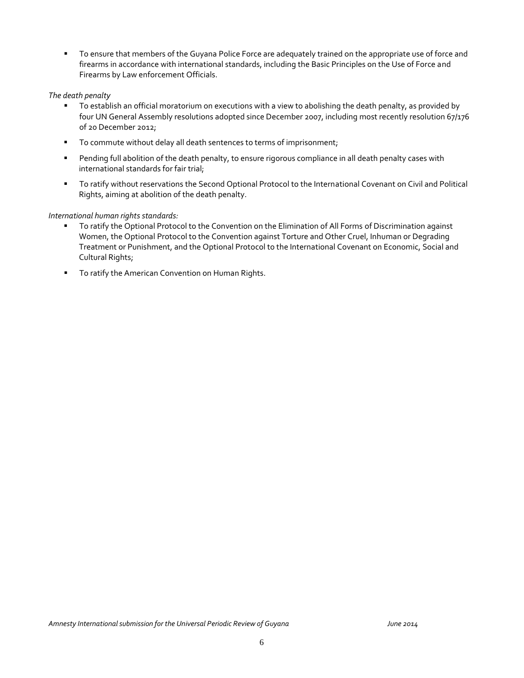To ensure that members of the Guyana Police Force are adequately trained on the appropriate use of force and firearms in accordance with international standards, including the Basic Principles on the Use of Force and Firearms by Law enforcement Officials.

#### *The death penalty*

- To establish an official moratorium on executions with a view to abolishing the death penalty, as provided by four UN General Assembly resolutions adopted since December 2007, including most recently resolution 67/176 of 20 December 2012;
- To commute without delay all death sentences to terms of imprisonment;
- **Pending full abolition of the death penalty, to ensure rigorous compliance in all death penalty cases with** international standards for fair trial;
- To ratify without reservations the Second Optional Protocol to the International Covenant on Civil and Political Rights, aiming at abolition of the death penalty.

#### *International human rights standards:*

- To ratify the Optional Protocol to the Convention on the Elimination of All Forms of Discrimination against Women, the Optional Protocol to the Convention against Torture and Other Cruel, Inhuman or Degrading Treatment or Punishment, and the Optional Protocol to the International Covenant on Economic, Social and Cultural Rights;
- **To ratify the American Convention on Human Rights.**